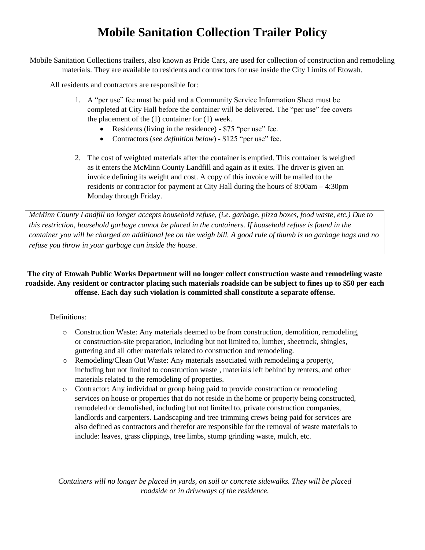## **Mobile Sanitation Collection Trailer Policy**

Mobile Sanitation Collections trailers, also known as Pride Cars, are used for collection of construction and remodeling materials. They are available to residents and contractors for use inside the City Limits of Etowah.

All residents and contractors are responsible for:

- 1. A "per use" fee must be paid and a Community Service Information Sheet must be completed at City Hall before the container will be delivered. The "per use" fee covers the placement of the (1) container for (1) week.
	- Residents (living in the residence) \$75 "per use" fee.
	- Contractors (*see definition below*) \$125 "per use" fee.
- 2. The cost of weighted materials after the container is emptied. This container is weighed as it enters the McMinn County Landfill and again as it exits. The driver is given an invoice defining its weight and cost. A copy of this invoice will be mailed to the residents or contractor for payment at City Hall during the hours of 8:00am – 4:30pm Monday through Friday.

*McMinn County Landfill no longer accepts household refuse, (i.e. garbage, pizza boxes, food waste, etc.) Due to this restriction, household garbage cannot be placed in the containers. If household refuse is found in the container you will be charged an additional fee on the weigh bill. A good rule of thumb is no garbage bags and no refuse you throw in your garbage can inside the house.* 

## **The city of Etowah Public Works Department will no longer collect construction waste and remodeling waste roadside. Any resident or contractor placing such materials roadside can be subject to fines up to \$50 per each offense. Each day such violation is committed shall constitute a separate offense.**

## Definitions:

- o Construction Waste: Any materials deemed to be from construction, demolition, remodeling, or construction-site preparation, including but not limited to, lumber, sheetrock, shingles, guttering and all other materials related to construction and remodeling.
- o Remodeling/Clean Out Waste: Any materials associated with remodeling a property, including but not limited to construction waste , materials left behind by renters, and other materials related to the remodeling of properties.
- o Contractor: Any individual or group being paid to provide construction or remodeling services on house or properties that do not reside in the home or property being constructed, remodeled or demolished, including but not limited to, private construction companies, landlords and carpenters. Landscaping and tree trimming crews being paid for services are also defined as contractors and therefor are responsible for the removal of waste materials to include: leaves, grass clippings, tree limbs, stump grinding waste, mulch, etc.

*Containers will no longer be placed in yards, on soil or concrete sidewalks. They will be placed roadside or in driveways of the residence.*